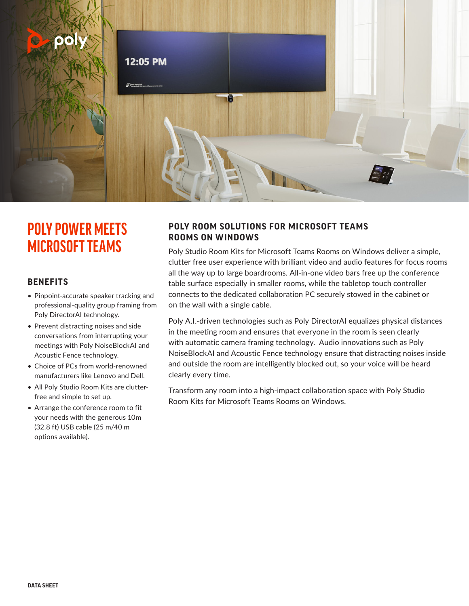

# **POLY POWER MEETS MICROSOFT TEAMS**

## **BENEFITS**

- Pinpoint-accurate speaker tracking and professional-quality group framing from Poly DirectorAI technology.
- Prevent distracting noises and side conversations from interrupting your meetings with Poly NoiseBlockAI and Acoustic Fence technology.
- Choice of PCs from world-renowned manufacturers like Lenovo and Dell.
- All Poly Studio Room Kits are clutterfree and simple to set up.
- Arrange the conference room to fit your needs with the generous 10m (32.8 ft) USB cable (25 m/40 m options available).

## **POLY ROOM SOLUTIONS FOR MICROSOFT TEAMS ROOMS ON WINDOWS**

Poly Studio Room Kits for Microsoft Teams Rooms on Windows deliver a simple, clutter free user experience with brilliant video and audio features for focus rooms all the way up to large boardrooms. All-in-one video bars free up the conference table surface especially in smaller rooms, while the tabletop touch controller connects to the dedicated collaboration PC securely stowed in the cabinet or on the wall with a single cable.

Poly A.I.-driven technologies such as Poly DirectorAI equalizes physical distances in the meeting room and ensures that everyone in the room is seen clearly with automatic camera framing technology. Audio innovations such as Poly NoiseBlockAI and Acoustic Fence technology ensure that distracting noises inside and outside the room are intelligently blocked out, so your voice will be heard clearly every time.

Transform any room into a high-impact collaboration space with Poly Studio Room Kits for Microsoft Teams Rooms on Windows.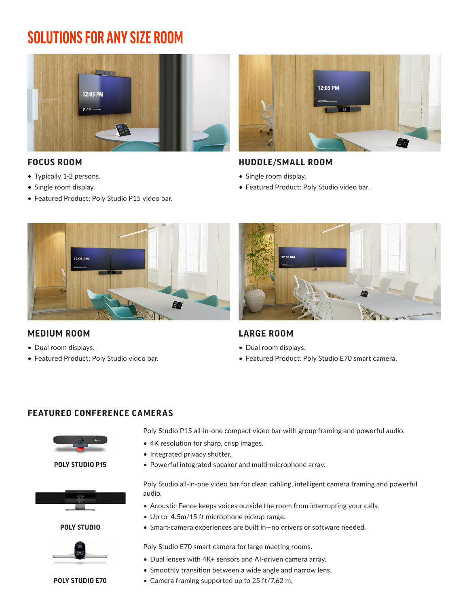# **SOLUTIONS FOR ANY SIZE ROOM**



# **FOCUS ROOM**

- Typically 1-2 persons.
- Single room display.
- Featured Product: Poly Studio P15 video bar.



# **HUDDLE/SMALL ROOM**

- Single room display.
- Featured Product: Poly Studio video bar.



# **MEDIUM ROOM**

- Dual room displays.
- Featured Product: Poly Studio video bar.



# **LARGE ROOM**

- Dual room displays.
- Featured Product: Poly Studio E70 smart camera.

## **FEATURED CONFERENCE CAMERAS**



**POLY STUDIO P15**



**POLY STUDIO**



**POLY STUDIO E70**

Poly Studio P15 all-in-one compact video bar with group framing and powerful audio.

- 4K resolution for sharp, crisp images.
- Integrated privacy shutter.
- Powerful integrated speaker and multi-microphone array.

Poly Studio all-in-one video bar for clean cabling, intelligent camera framing and powerful audio.

- Acoustic Fence keeps voices outside the room from interrupting your calls.
- Up to 4.5m/15 ft microphone pickup range.
- Smart-camera experiences are built in—no drivers or software needed.

Poly Studio E70 smart camera for large meeting rooms.

- Dual lenses with 4K+ sensors and AI-driven camera array.
- Smoothly transition between a wide angle and narrow lens.
- Camera framing supported up to 25 ft/7.62 m.